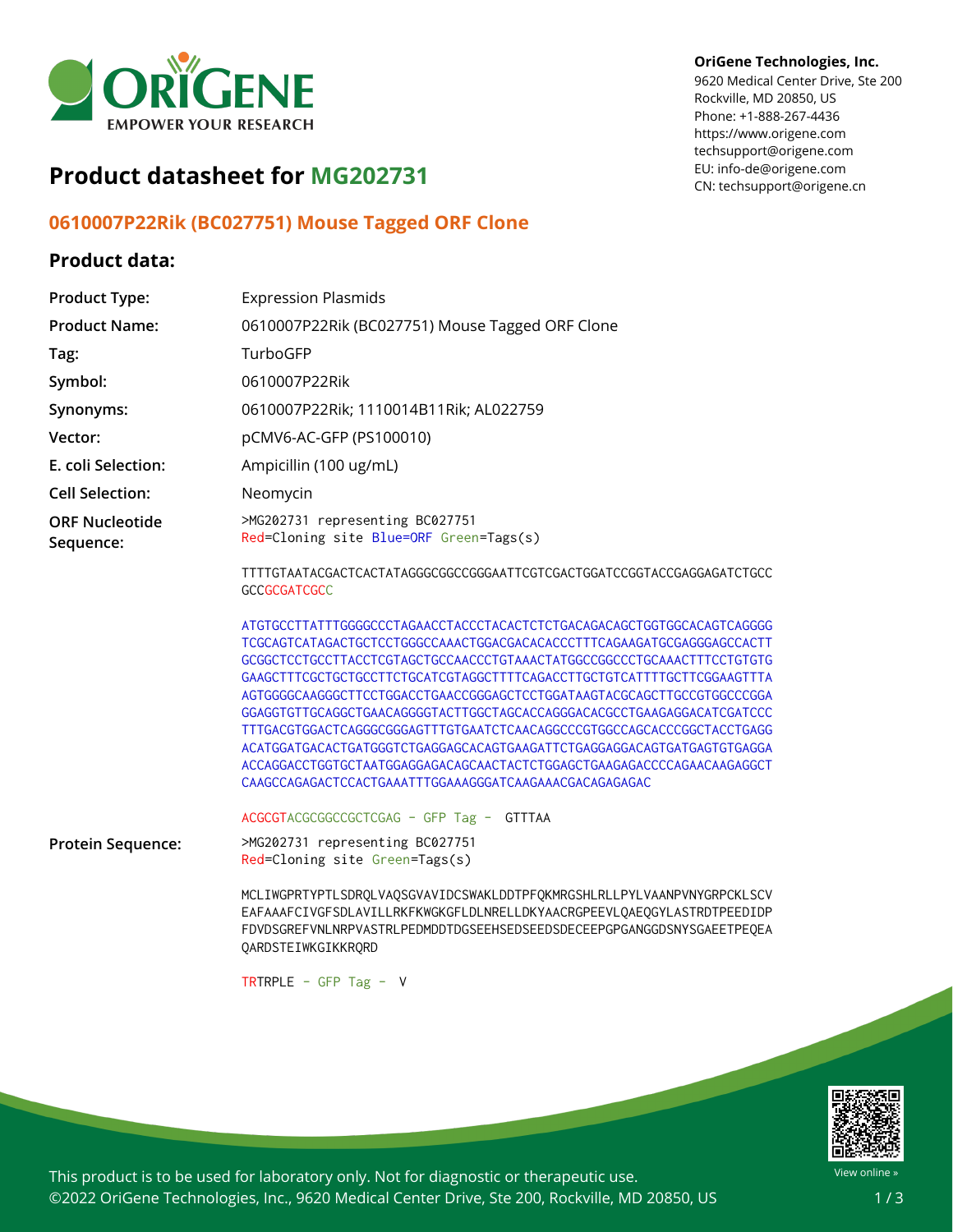

# **Product datasheet for MG202731**

## **0610007P22Rik (BC027751) Mouse Tagged ORF Clone**

## **Product data:**

### **OriGene Technologies, Inc.**

9620 Medical Center Drive, Ste 200 Rockville, MD 20850, US Phone: +1-888-267-4436 https://www.origene.com techsupport@origene.com EU: info-de@origene.com CN: techsupport@origene.cn

| <b>Product Type:</b>               | <b>Expression Plasmids</b>                                                                                                                                                                                                                                                                                                                                                                                                                                                                                                                                                                  |
|------------------------------------|---------------------------------------------------------------------------------------------------------------------------------------------------------------------------------------------------------------------------------------------------------------------------------------------------------------------------------------------------------------------------------------------------------------------------------------------------------------------------------------------------------------------------------------------------------------------------------------------|
| <b>Product Name:</b>               | 0610007P22Rik (BC027751) Mouse Tagged ORF Clone                                                                                                                                                                                                                                                                                                                                                                                                                                                                                                                                             |
| Tag:                               | TurboGFP                                                                                                                                                                                                                                                                                                                                                                                                                                                                                                                                                                                    |
| Symbol:                            | 0610007P22Rik                                                                                                                                                                                                                                                                                                                                                                                                                                                                                                                                                                               |
| Synonyms:                          | 0610007P22Rik; 1110014B11Rik; AL022759                                                                                                                                                                                                                                                                                                                                                                                                                                                                                                                                                      |
| Vector:                            | pCMV6-AC-GFP (PS100010)                                                                                                                                                                                                                                                                                                                                                                                                                                                                                                                                                                     |
| E. coli Selection:                 | Ampicillin (100 ug/mL)                                                                                                                                                                                                                                                                                                                                                                                                                                                                                                                                                                      |
| <b>Cell Selection:</b>             | Neomycin                                                                                                                                                                                                                                                                                                                                                                                                                                                                                                                                                                                    |
| <b>ORF Nucleotide</b><br>Sequence: | >MG202731 representing BC027751<br>Red=Cloning site Blue=ORF Green=Tags(s)                                                                                                                                                                                                                                                                                                                                                                                                                                                                                                                  |
|                                    | TTTTGTAATACGACTCACTATAGGGCGGCCGGGAATTCGTCGACTGGATCCGGTACCGAGGAGATCTGCC<br><b>GCCGCGATCGCC</b>                                                                                                                                                                                                                                                                                                                                                                                                                                                                                               |
|                                    | TCGCAGTCATAGACTGCTCCTGGGCCAAACTGGACGACACACCCTTTCAGAAGATGCGAGGGAGCCACTT<br>GAAGCTTTCGCTGCTGCCTTCTGCATCGTAGGCTTTTCAGACCTTGCTGTCATTTTGCTTCGGAAGTTTA<br>AGTGGGGCAAGGGCTTCCTGGACCTGAACCGGGAGCTCCTGGATAAGTACGCAGCTTGCCGTGGCCCGGA<br>GGAGGTGTTGCAGGCTGAACAGGGGTACTTGGCTAGCACCAGGGACACGCCTGAAGAGACATCGATCCC<br>TTTGACGTGGACTCAGGGCGGGAGTTTGTGAATCTCAACAGGCCCGTGGCCAGCACCCGGCTACCTGAGG<br>ACATGGATGACACTGATGGGTCTGAGGAGCACAGTGAAGATTCTGAGGAGGACAGTGATGAGTGTGAGGA<br>ACCAGGACCTGGTGCTAATGGAGGAGACAGCAACTACTCTGGAGCTGAAGAGACCCCAGAACAAGAGGCT<br>CAAGCCAGAGACTCCACTGAAATTTGGAAAGGGATCAAGAAACGACAGAGAGAC |
|                                    | ACGCGTACGCGGCCGCTCGAG - GFP Tag - GTTTAA                                                                                                                                                                                                                                                                                                                                                                                                                                                                                                                                                    |
| Protein Sequence:                  | >MG202731 representing BC027751<br>Red=Cloning site Green=Tags(s)                                                                                                                                                                                                                                                                                                                                                                                                                                                                                                                           |
|                                    | MCLIWGPRTYPTLSDRQLVAQSGVAVIDCSWAKLDDTPFQKMRGSHLRLLPYLVAANPVNYGRPCKLSCV<br>EAFAAAFCIVGFSDLAVILLRKFKWGKGFLDLNRELLDKYAACRGPEEVLQAEQGYLASTRDTPEEDIDP<br>FDVDSGREFVNLNRPVASTRLPEDMDDTDGSEEHSEDSEEDSDECEEPGPGANGGDSNYSGAEETPEQEA<br>QARDSTEIWKGIKKRQRD                                                                                                                                                                                                                                                                                                                                            |
|                                    | TRTRPLE - GFP Tag - $V$                                                                                                                                                                                                                                                                                                                                                                                                                                                                                                                                                                     |



This product is to be used for laboratory only. Not for diagnostic or therapeutic use. ©2022 OriGene Technologies, Inc., 9620 Medical Center Drive, Ste 200, Rockville, MD 20850, US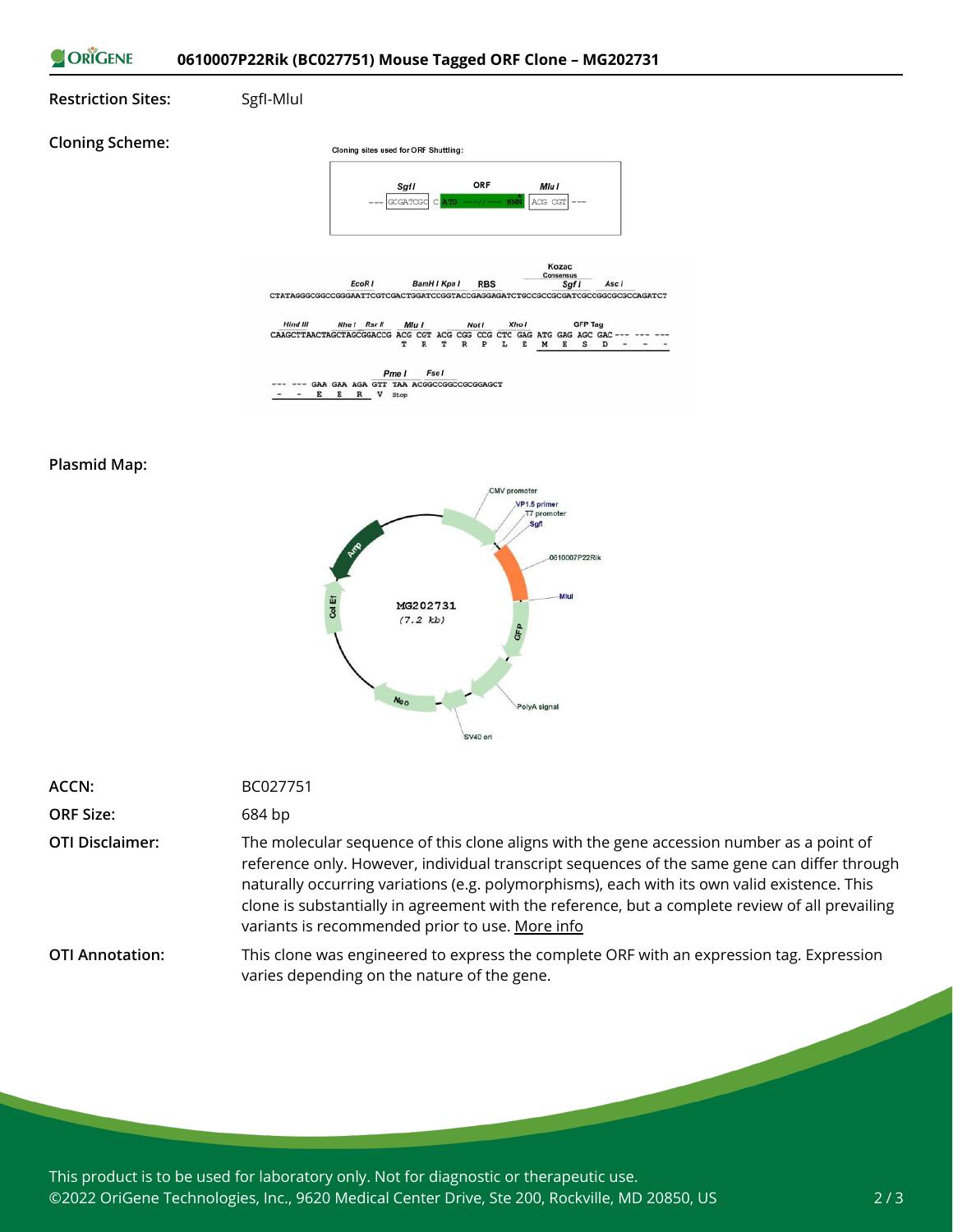

#### **Plasmid Map:**



| ACCN:                  | BC027751                                                                                                                                                                                                                                                                                                                                                                                                                                       |
|------------------------|------------------------------------------------------------------------------------------------------------------------------------------------------------------------------------------------------------------------------------------------------------------------------------------------------------------------------------------------------------------------------------------------------------------------------------------------|
| <b>ORF Size:</b>       | 684 bp                                                                                                                                                                                                                                                                                                                                                                                                                                         |
| <b>OTI Disclaimer:</b> | The molecular sequence of this clone aligns with the gene accession number as a point of<br>reference only. However, individual transcript sequences of the same gene can differ through<br>naturally occurring variations (e.g. polymorphisms), each with its own valid existence. This<br>clone is substantially in agreement with the reference, but a complete review of all prevailing<br>variants is recommended prior to use. More info |
| <b>OTI Annotation:</b> | This clone was engineered to express the complete ORF with an expression tag. Expression<br>varies depending on the nature of the gene.                                                                                                                                                                                                                                                                                                        |

This product is to be used for laboratory only. Not for diagnostic or therapeutic use. ©2022 OriGene Technologies, Inc., 9620 Medical Center Drive, Ste 200, Rockville, MD 20850, US